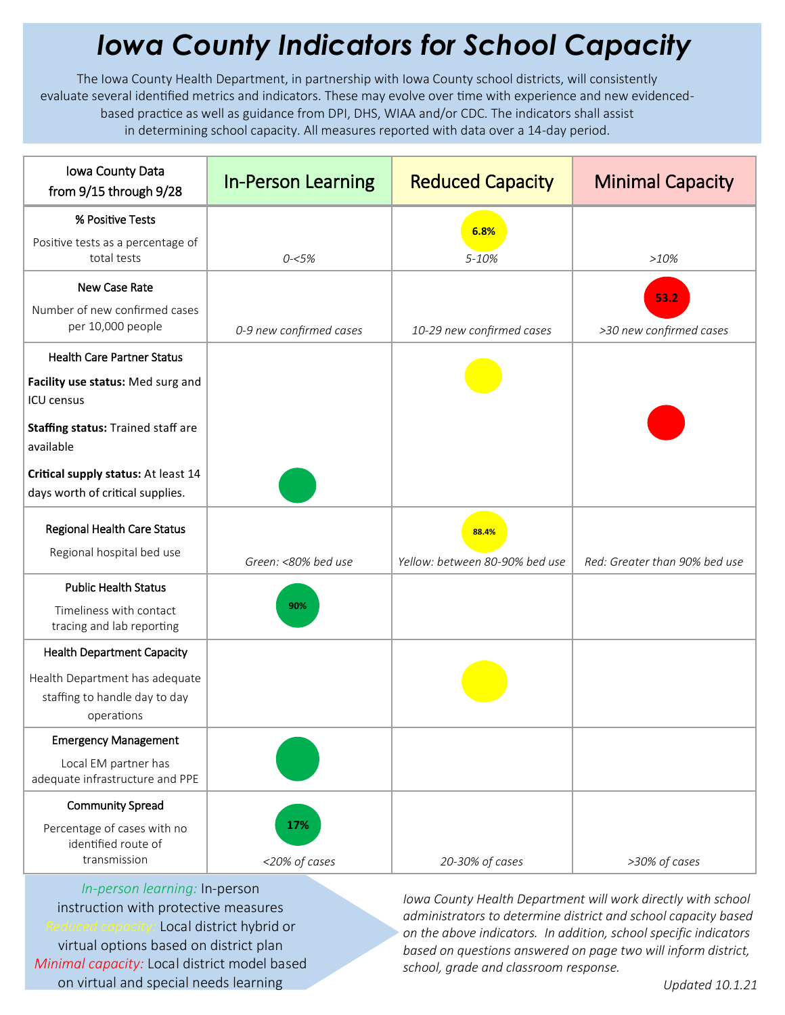## *Iowa County Indicators for School Capacity*

The Iowa County Health Department, in partnership with Iowa County school districts, will consistently evaluate several identified metrics and indicators. These may evolve over time with experience and new evidencedbased practice as well as guidance from DPI, DHS, WIAA and/or CDC. The indicators shall assist in determining school capacity. All measures reported with data over a 14-day period.

| Iowa County Data<br>from 9/15 through 9/28                                    | <b>In-Person Learning</b> | <b>Reduced Capacity</b>        | <b>Minimal Capacity</b>         |
|-------------------------------------------------------------------------------|---------------------------|--------------------------------|---------------------------------|
| % Positive Tests                                                              |                           | 6.8%                           |                                 |
| Positive tests as a percentage of<br>total tests                              | $0 - 5%$                  | 5-10%                          | >10%                            |
| New Case Rate                                                                 |                           |                                |                                 |
| Number of new confirmed cases<br>per 10,000 people                            | 0-9 new confirmed cases   | 10-29 new confirmed cases      | 53.2<br>>30 new confirmed cases |
| <b>Health Care Partner Status</b>                                             |                           |                                |                                 |
| Facility use status: Med surg and<br><b>ICU</b> census                        |                           |                                |                                 |
| Staffing status: Trained staff are<br>available                               |                           |                                |                                 |
| Critical supply status: At least 14<br>days worth of critical supplies.       |                           |                                |                                 |
| <b>Regional Health Care Status</b>                                            |                           | 88.4%                          |                                 |
| Regional hospital bed use                                                     | Green: <80% bed use       | Yellow: between 80-90% bed use | Red: Greater than 90% bed use   |
| <b>Public Health Status</b>                                                   |                           |                                |                                 |
| Timeliness with contact<br>tracing and lab reporting                          | 90%                       |                                |                                 |
| <b>Health Department Capacity</b>                                             |                           |                                |                                 |
| Health Department has adequate<br>staffing to handle day to day<br>operations |                           |                                |                                 |
| <b>Emergency Management</b>                                                   |                           |                                |                                 |
| Local EM partner has<br>adequate infrastructure and PPE                       |                           |                                |                                 |
| <b>Community Spread</b>                                                       |                           |                                |                                 |
| Percentage of cases with no<br>identified route of<br>transmission            | 17%<br><20% of cases      | 20-30% of cases                | >30% of cases                   |

*In-person learning:* In-person instruction with protective measures *Reduced capacity:* Local district hybrid or virtual options based on district plan *Minimal capacity:* Local district model based on virtual and special needs learning

*Iowa County Health Department will work directly with school administrators to determine district and school capacity based on the above indicators. In addition, school specific indicators based on questions answered on page two will inform district, school, grade and classroom response.*